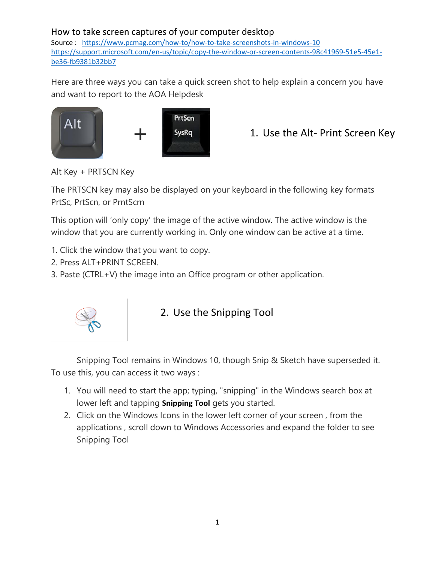### How to take screen captures of your computer desktop

Source : <https://www.pcmag.com/how-to/how-to-take-screenshots-in-windows-10> [https://support.microsoft.com/en-us/topic/copy-the-window-or-screen-contents-98c41969-51e5-45e1](https://support.microsoft.com/en-us/topic/copy-the-window-or-screen-contents-98c41969-51e5-45e1-be36-fb9381b32bb7) [be36-fb9381b32bb7](https://support.microsoft.com/en-us/topic/copy-the-window-or-screen-contents-98c41969-51e5-45e1-be36-fb9381b32bb7)

Here are three ways you can take a quick screen shot to help explain a concern you have and want to report to the AOA Helpdesk



+ 1. Use the Alt- Print Screen Key

Alt Key + PRTSCN Key

The PRTSCN key may also be displayed on your keyboard in the following key formats PrtSc, PrtScn, or PrntScrn

This option will 'only copy' the image of the active window. The active window is the window that you are currently working in. Only one window can be active at a time.

- 1. Click the window that you want to copy.
- 2. Press ALT+PRINT SCREEN.
- 3. Paste (CTRL+V) the image into an Office program or other application.



## 2. Use the Snipping Tool

Snipping Tool remains in Windows 10, though Snip & Sketch have superseded it. To use this, you can access it two ways :

- 1. You will need to start the app; typing, "snipping" in the Windows search box at lower left and tapping **Snipping Tool** gets you started.
- 2. Click on the Windows Icons in the lower left corner of your screen , from the applications , scroll down to Windows Accessories and expand the folder to see Snipping Tool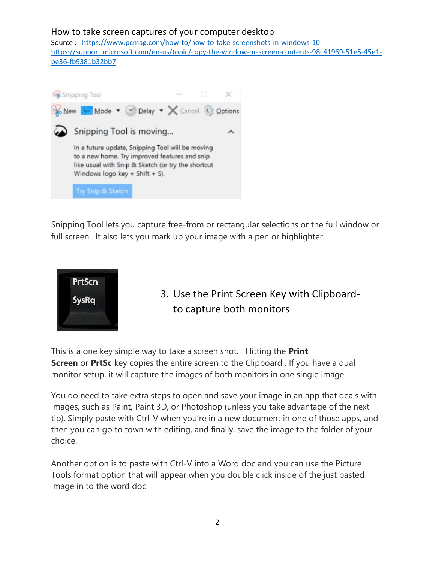#### How to take screen captures of your computer desktop

Source : <https://www.pcmag.com/how-to/how-to-take-screenshots-in-windows-10> [https://support.microsoft.com/en-us/topic/copy-the-window-or-screen-contents-98c41969-51e5-45e1](https://support.microsoft.com/en-us/topic/copy-the-window-or-screen-contents-98c41969-51e5-45e1-be36-fb9381b32bb7) [be36-fb9381b32bb7](https://support.microsoft.com/en-us/topic/copy-the-window-or-screen-contents-98c41969-51e5-45e1-be36-fb9381b32bb7)



Snipping Tool lets you capture free-from or rectangular selections or the full window or full screen.. It also lets you mark up your image with a pen or highlighter.



# 3. Use the Print Screen Key with Clipboardto capture both monitors

This is a one key simple way to take a screen shot. Hitting the **Print Screen** or **PrtSc** key copies the entire screen to the Clipboard. If you have a dual monitor setup, it will capture the images of both monitors in one single image.

You do need to take extra steps to open and save your image in an app that deals with images, such as Paint, Paint 3D, or Photoshop (unless you take advantage of the next tip). Simply paste with Ctrl-V when you're in a new document in one of those apps, and then you can go to town with editing, and finally, save the image to the folder of your choice.

Another option is to paste with Ctrl-V into a Word doc and you can use the Picture Tools format option that will appear when you double click inside of the just pasted image in to the word doc